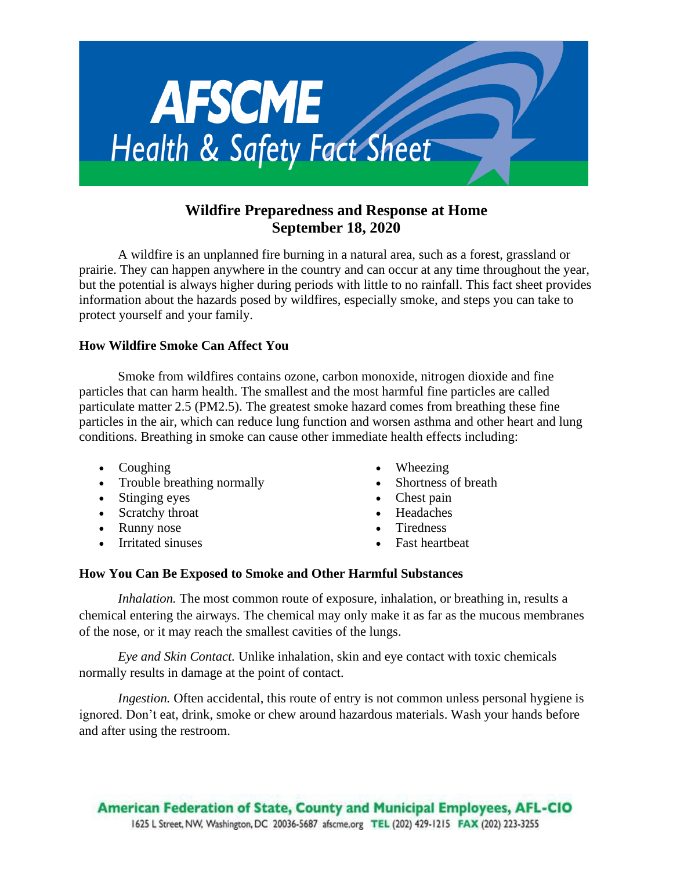

# **Wildfire Preparedness and Response at Home September 18, 2020**

A wildfire is an unplanned fire burning in a natural area, such as a forest, grassland or prairie. They can happen anywhere in the country and can occur at any time throughout the year, but the potential is always higher during periods with little to no rainfall. This fact sheet provides information about the hazards posed by wildfires, especially smoke, and steps you can take to protect yourself and your family.

#### **How Wildfire Smoke Can Affect You**

Smoke from wildfires contains ozone, carbon monoxide, nitrogen dioxide and fine particles that can harm health. The smallest and the most harmful fine particles are called particulate matter 2.5 (PM2.5). The greatest smoke hazard comes from breathing these fine particles in the air, which can reduce lung function and worsen asthma and other heart and lung conditions. Breathing in smoke can cause other immediate health effects including:

- Coughing
- Trouble breathing normally
- Stinging eyes
- Scratchy throat
- Runny nose
- Irritated sinuses
- Wheezing
- Shortness of breath
- Chest pain
- Headaches
- Tiredness
- Fast heartbeat

#### **How You Can Be Exposed to Smoke and Other Harmful Substances**

*Inhalation*. The most common route of exposure, inhalation, or breathing in, results a chemical entering the airways. The chemical may only make it as far as the mucous membranes of the nose, or it may reach the smallest cavities of the lungs.

*Eye and Skin Contact.* Unlike inhalation, skin and eye contact with toxic chemicals normally results in damage at the point of contact.

*Ingestion.* Often accidental, this route of entry is not common unless personal hygiene is ignored. Don't eat, drink, smoke or chew around hazardous materials. Wash your hands before and after using the restroom.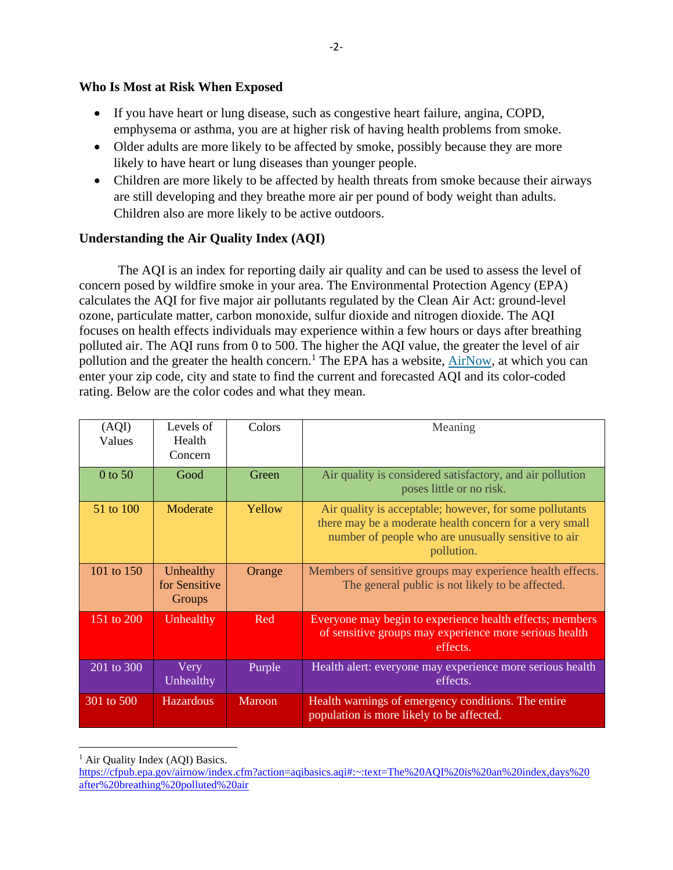#### **Who Is Most at Risk When Exposed**

- If you have heart or lung disease, such as congestive heart failure, angina, COPD, emphysema or asthma, you are at higher risk of having health problems from smoke.
- Older adults are more likely to be affected by smoke, possibly because they are more likely to have heart or lung diseases than younger people.
- Children are more likely to be affected by health threats from smoke because their airways are still developing and they breathe more air per pound of body weight than adults. Children also are more likely to be active outdoors.

#### **Understanding the Air Quality Index (AQI)**

The AQI is an index for reporting daily air quality and can be used to assess the level of concern posed by wildfire smoke in your area. The Environmental Protection Agency (EPA) calculates the AQI for five major air pollutants regulated by the Clean Air Act: ground-level ozone, particulate matter, carbon monoxide, sulfur dioxide and nitrogen dioxide. The AQI focuses on health effects individuals may experience within a few hours or days after breathing polluted air. The AQI runs from 0 to 500. The higher the AQI value, the greater the level of air pollution and the greater the health concern.<sup>1</sup> The EPA has a website, [AirNow,](https://airnow.gov/) at which you can enter your zip code, city and state to find the current and forecasted AQI and its color-coded rating. Below are the color codes and what they mean.

| (AQI)<br>Values | Levels of<br>Health<br>Concern       | Colors | Meaning                                                                                                                                                                                 |
|-----------------|--------------------------------------|--------|-----------------------------------------------------------------------------------------------------------------------------------------------------------------------------------------|
| $0$ to 50       | Good                                 | Green  | Air quality is considered satisfactory, and air pollution<br>poses little or no risk.                                                                                                   |
| 51 to 100       | Moderate                             | Yellow | Air quality is acceptable; however, for some pollutants<br>there may be a moderate health concern for a very small<br>number of people who are unusually sensitive to air<br>pollution. |
| 101 to 150      | Unhealthy<br>for Sensitive<br>Groups | Orange | Members of sensitive groups may experience health effects.<br>The general public is not likely to be affected.                                                                          |
| 151 to 200      | Unhealthy                            | Red    | Everyone may begin to experience health effects; members<br>of sensitive groups may experience more serious health<br>effects.                                                          |
| 201 to 300      | Very<br>Unhealthy                    | Purple | Health alert: everyone may experience more serious health<br>effects.                                                                                                                   |
| 301 to 500      | <b>Hazardous</b>                     | Maroon | Health warnings of emergency conditions. The entire<br>population is more likely to be affected.                                                                                        |

<sup>&</sup>lt;sup>1</sup> Air Quality Index (AQI) Basics.

[https://cfpub.epa.gov/airnow/index.cfm?action=aqibasics.aqi#:~:text=The%20AQI%20is%20an%20index,days%20](https://cfpub.epa.gov/airnow/index.cfm?action=aqibasics.aqi#:~:text=The%20AQI%20is%20an%20index,days%20after%20breathing%20polluted%20air) [after%20breathing%20polluted%20air](https://cfpub.epa.gov/airnow/index.cfm?action=aqibasics.aqi#:~:text=The%20AQI%20is%20an%20index,days%20after%20breathing%20polluted%20air)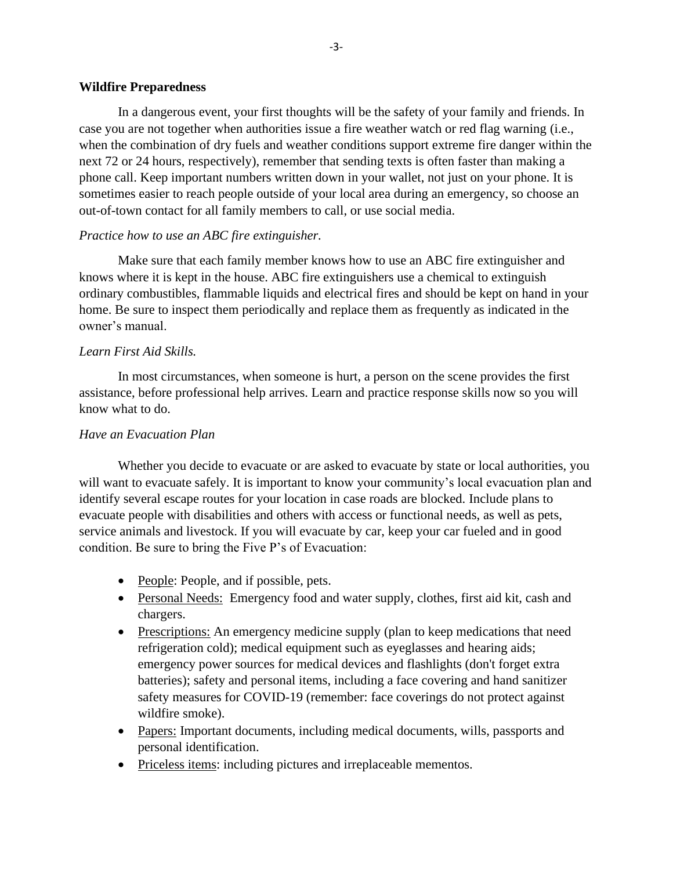#### **Wildfire Preparedness**

In a dangerous event, your first thoughts will be the safety of your family and friends. In case you are not together when authorities issue a fire weather watch or red flag warning (i.e., when the combination of dry fuels and weather conditions support extreme fire danger within the next 72 or 24 hours, respectively), remember that sending texts is often faster than making a phone call. Keep important numbers written down in your wallet, not just on your phone. It is sometimes easier to reach people outside of your local area during an emergency, so choose an out-of-town contact for all family members to call, or use social media.

#### *Practice how to use an ABC fire extinguisher.*

Make sure that each family member knows how to use an ABC fire extinguisher and knows where it is kept in the house. ABC fire extinguishers use a chemical to extinguish ordinary combustibles, flammable liquids and electrical fires and should be kept on hand in your home. Be sure to inspect them periodically and replace them as frequently as indicated in the owner's manual.

#### *Learn First Aid Skills.*

In most circumstances, when someone is hurt, a person on the scene provides the first assistance, before professional help arrives. Learn and practice response skills now so you will know what to do.

#### *Have an Evacuation Plan*

Whether you decide to evacuate or are asked to evacuate by state or local authorities, you will want to evacuate safely. It is important to know your community's local evacuation plan and identify several escape routes for your location in case roads are blocked. Include plans to evacuate people with disabilities and others with access or functional needs, as well as pets, service animals and livestock. If you will evacuate by car, keep your car fueled and in good condition. Be sure to bring the Five P's of Evacuation:

- People: People, and if possible, pets.
- Personal Needs: Emergency food and water supply, clothes, first aid kit, cash and chargers.
- Prescriptions: An emergency medicine supply (plan to keep medications that need refrigeration cold); medical equipment such as eyeglasses and hearing aids; emergency power sources for medical devices and flashlights (don't forget extra batteries); safety and personal items, including a face covering and hand sanitizer safety measures for COVID-19 (remember: face coverings do not protect against wildfire smoke).
- Papers: Important documents, including medical documents, wills, passports and personal identification.
- Priceless items: including pictures and irreplaceable mementos.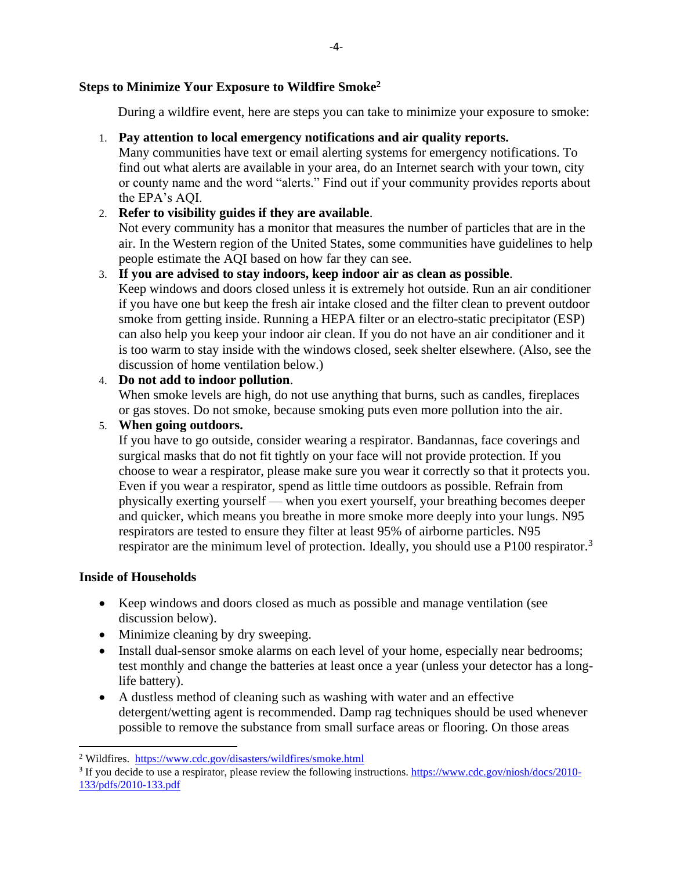#### **Steps to Minimize Your Exposure to Wildfire Smoke<sup>2</sup>**

During a wildfire event, here are steps you can take to minimize your exposure to smoke:

#### 1. **Pay attention to local emergency notifications and air quality reports.**

Many communities have text or email alerting systems for emergency notifications. To find out what alerts are available in your area, do an Internet search with your town, city or county name and the word "alerts." Find out if your community provides reports about the EPA's AQI.

#### 2. **Refer to visibility guides if they are available**.

Not every community has a monitor that measures the number of particles that are in the air. In the Western region of the United States, some communities have guidelines to help people estimate the AQI based on how far they can see.

# 3. **If you are advised to stay indoors, keep indoor air as clean as possible**.

Keep windows and doors closed unless it is extremely hot outside. Run an air conditioner if you have one but keep the fresh air intake closed and the filter clean to prevent outdoor smoke from getting inside. Running a HEPA filter or an electro-static precipitator (ESP) can also help you keep your indoor air clean. If you do not have an air conditioner and it is too warm to stay inside with the windows closed, seek shelter elsewhere. (Also, see the discussion of home ventilation below.)

#### 4. **Do not add to indoor pollution**.

When smoke levels are high, do not use anything that burns, such as candles, fireplaces or gas stoves. Do not smoke, because smoking puts even more pollution into the air.

#### 5. **When going outdoors.**

If you have to go outside, consider wearing a respirator. Bandannas, face coverings and surgical masks that do not fit tightly on your face will not provide protection. If you choose to wear a respirator, please make sure you wear it correctly so that it protects you. Even if you wear a respirator, spend as little time outdoors as possible. Refrain from physically exerting yourself — when you exert yourself, your breathing becomes deeper and quicker, which means you breathe in more smoke more deeply into your lungs. N95 respirators are tested to ensure they filter at least 95% of airborne particles. N95 respirator are the minimum level of protection. Ideally, you should use a  $P100$  respirator.<sup>3</sup>

#### **Inside of Households**

- Keep windows and doors closed as much as possible and manage ventilation (see discussion below).
- Minimize cleaning by dry sweeping.
- Install dual-sensor smoke alarms on each level of your home, especially near bedrooms; test monthly and change the batteries at least once a year (unless your detector has a longlife battery).
- A dustless method of cleaning such as washing with water and an effective detergent/wetting agent is recommended. Damp rag techniques should be used whenever possible to remove the substance from small surface areas or flooring. On those areas

<sup>2</sup> Wildfires. <https://www.cdc.gov/disasters/wildfires/smoke.html>

<sup>&</sup>lt;sup>3</sup> If you decide to use a respirator, please review the following instructions. [https://www.cdc.gov/niosh/docs/2010-](https://www.cdc.gov/niosh/docs/2010-133/pdfs/2010-133.pdf) [133/pdfs/2010-133.pdf](https://www.cdc.gov/niosh/docs/2010-133/pdfs/2010-133.pdf)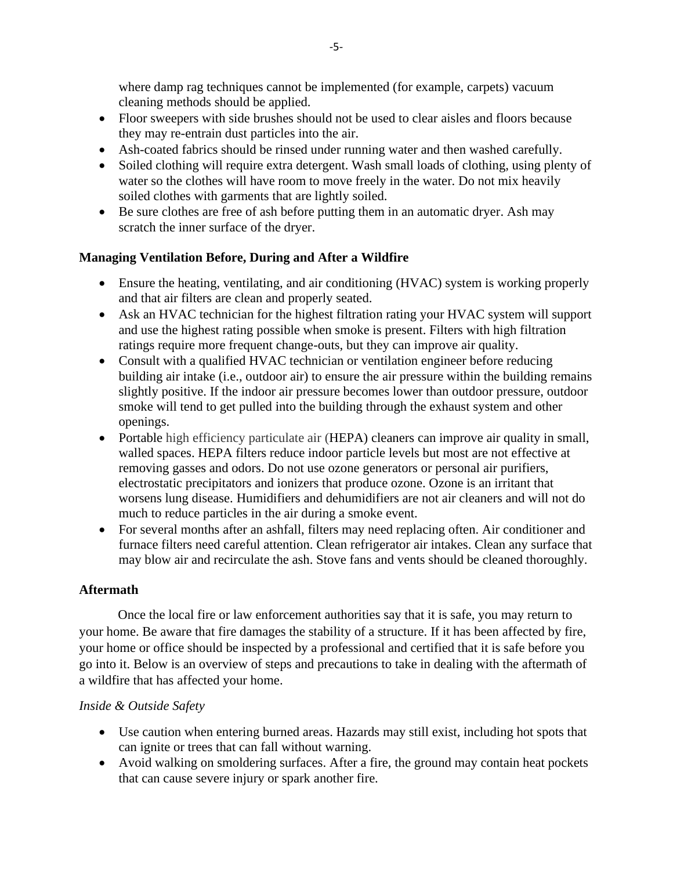where damp rag techniques cannot be implemented (for example, carpets) vacuum cleaning methods should be applied.

- Floor sweepers with side brushes should not be used to clear aisles and floors because they may re-entrain dust particles into the air.
- Ash-coated fabrics should be rinsed under running water and then washed carefully.
- Soiled clothing will require extra detergent. Wash small loads of clothing, using plenty of water so the clothes will have room to move freely in the water. Do not mix heavily soiled clothes with garments that are lightly soiled.
- Be sure clothes are free of ash before putting them in an automatic dryer. Ash may scratch the inner surface of the dryer.

## **Managing Ventilation Before, During and After a Wildfire**

- Ensure the heating, ventilating, and air conditioning (HVAC) system is working properly and that air filters are clean and properly seated.
- Ask an HVAC technician for the highest filtration rating your HVAC system will support and use the highest rating possible when smoke is present. Filters with high filtration ratings require more frequent change-outs, but they can improve air quality.
- Consult with a qualified HVAC technician or ventilation engineer before reducing building air intake (i.e., outdoor air) to ensure the air pressure within the building remains slightly positive. If the indoor air pressure becomes lower than outdoor pressure, outdoor smoke will tend to get pulled into the building through the exhaust system and other openings.
- Portable high efficiency particulate air (HEPA) cleaners can improve air quality in small, walled spaces. HEPA filters reduce indoor particle levels but most are not effective at removing gasses and odors. Do not use ozone generators or personal air purifiers, electrostatic precipitators and ionizers that produce ozone. Ozone is an irritant that worsens lung disease. Humidifiers and dehumidifiers are not air cleaners and will not do much to reduce particles in the air during a smoke event.
- For several months after an ashfall, filters may need replacing often. Air conditioner and furnace filters need careful attention. Clean refrigerator air intakes. Clean any surface that may blow air and recirculate the ash. Stove fans and vents should be cleaned thoroughly.

#### **Aftermath**

Once the local fire or law enforcement authorities say that it is safe, you may return to your home. Be aware that fire damages the stability of a structure. If it has been affected by fire, your home or office should be inspected by a professional and certified that it is safe before you go into it. Below is an overview of steps and precautions to take in dealing with the aftermath of a wildfire that has affected your home.

#### *Inside & Outside Safety*

- Use caution when entering burned areas. Hazards may still exist, including hot spots that can ignite or trees that can fall without warning.
- Avoid walking on smoldering surfaces. After a fire, the ground may contain heat pockets that can cause severe injury or spark another fire.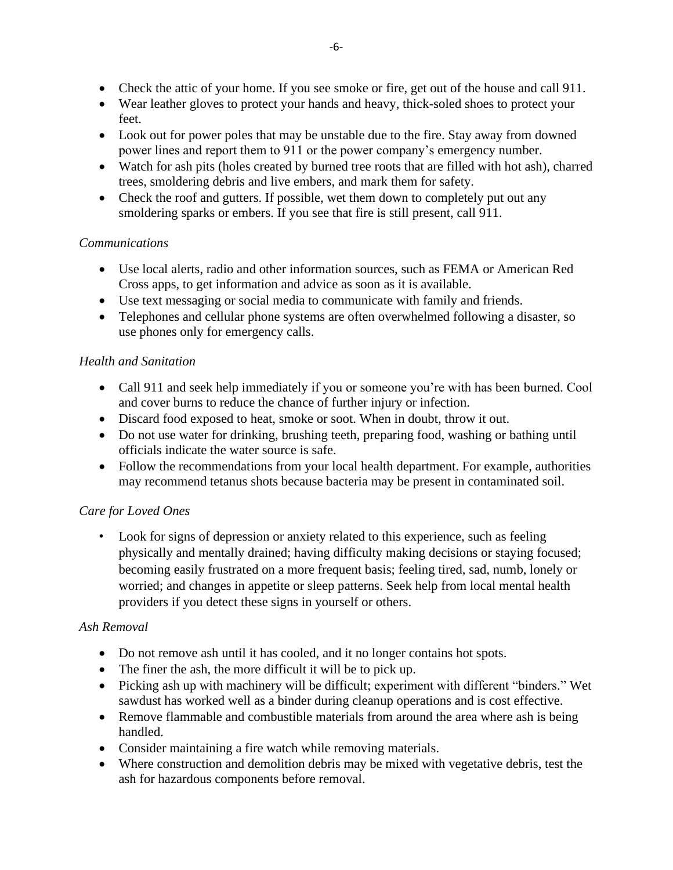- Check the attic of your home. If you see smoke or fire, get out of the house and call 911.
- Wear leather gloves to protect your hands and heavy, thick-soled shoes to protect your feet.
- Look out for power poles that may be unstable due to the fire. Stay away from downed power lines and report them to 911 or the power company's emergency number.
- Watch for ash pits (holes created by burned tree roots that are filled with hot ash), charred trees, smoldering debris and live embers, and mark them for safety.
- Check the roof and gutters. If possible, wet them down to completely put out any smoldering sparks or embers. If you see that fire is still present, call 911.

#### *Communications*

- Use local alerts, radio and other information sources, such as FEMA or American Red Cross apps, to get information and advice as soon as it is available.
- Use text messaging or social media to communicate with family and friends.
- Telephones and cellular phone systems are often overwhelmed following a disaster, so use phones only for emergency calls.

## *Health and Sanitation*

- Call 911 and seek help immediately if you or someone you're with has been burned. Cool and cover burns to reduce the chance of further injury or infection.
- Discard food exposed to heat, smoke or soot. When in doubt, throw it out.
- Do not use water for drinking, brushing teeth, preparing food, washing or bathing until officials indicate the water source is safe.
- Follow the recommendations from your local health department. For example, authorities may recommend tetanus shots because bacteria may be present in contaminated soil.

# *Care for Loved Ones*

• Look for signs of depression or anxiety related to this experience, such as feeling physically and mentally drained; having difficulty making decisions or staying focused; becoming easily frustrated on a more frequent basis; feeling tired, sad, numb, lonely or worried; and changes in appetite or sleep patterns. Seek help from local mental health providers if you detect these signs in yourself or others.

# *Ash Removal*

- Do not remove ash until it has cooled, and it no longer contains hot spots.
- The finer the ash, the more difficult it will be to pick up.
- Picking ash up with machinery will be difficult; experiment with different "binders." Wet sawdust has worked well as a binder during cleanup operations and is cost effective.
- Remove flammable and combustible materials from around the area where ash is being handled.
- Consider maintaining a fire watch while removing materials.
- Where construction and demolition debris may be mixed with vegetative debris, test the ash for hazardous components before removal.